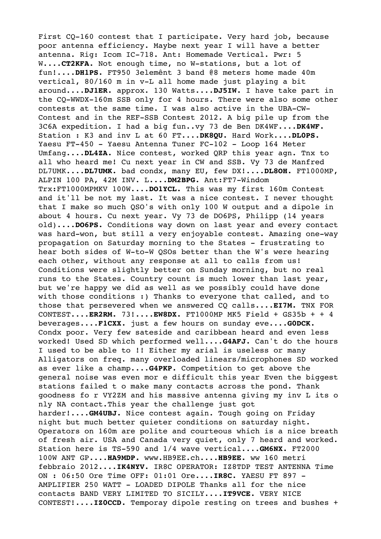First CQ-160 contest that I participate. Very hard job, because poor antenna efficiency. Maybe next year I will have a better antenna. Rig: Icom IC-718. Ant: Homemade Vertical. Pwr: 5 W....**CT2KFA.** Not enough time, no W-stations, but a lot of fun!....**DH1PS.** FT950 3elemênt 3 band @8 meters home made 40m vertical, 80/160 m in v-L all home made just playing a bit around....**DJ1ER.** approx. 130 Watts....**DJ5IW.** I have take part in the CQ-WWDX-160m SSB only for 4 hours. There were also some other contests at the same time. I was also active in the UBA-CW-Contest and in the REF-SSB Contest 2012. A big pile up from the 3C6A expedition. I had a big fun..vy 73 de Ben DK4WF....**DK4WF.** Station : K3 and inv L at 60 FT....**DK8QU.** Hard Work....**DL0PS.** Yaesu FT-450 - Yaesu Antenna Tuner FC-102 - Loop 164 Meter Umfang....**DL4ZA.** Nice contest, worked QRP this year agn. Tnx to all who heard me! Cu next year in CW and SSB. Vy 73 de Manfred DL7UMK....**DL7UMK.** bad condx, many EU, few DX!....**DL8OH.** FT1000MP, ALPIN 100 PA, 42M INV. L....**DM2BPG.** Ant:FT7-Windom Trx:FT1000MPMKV 100W....**DO1YCL.** This was my first 160m Contest and it'll be not my last. It was a nice contest. I never thought that I make so much QSO's with only 100 W output and a dipole in about 4 hours. Cu next year. Vy 73 de DO6PS, Philipp (14 years old)....**DO6PS.** Conditions way down on last year and every contact was hard-won, but still a very enjoyable contest. Amazing one-way propagation on Saturday morning to the States - frustrating to hear both sides of W-to-W QSOs better than the W's were hearing each other, without any response at all to calls from us! Conditions were slightly better on Sunday morning, but no real runs to the States. Country count is much lower than last year, but we're happy we did as well as we possibly could have done with those conditions :) Thanks to everyone that called, and to those that persevered when we answered CQ calls....**EI7M.** TNX FOR CONTEST....**ER2RM.** 73!....**EW8DX.** FT1000MP MK5 Field + GS35b + + 4 beverages....**F1CXX.** just a few hours on sunday eve....**G0DCK.** Condx poor. Very few sateside and caribbean heard and even less worked! Used SD which performed well....**G4AFJ.** Can't do the hours I used to be able to !! Either my arial is useless or many Alligators on freq. many overloaded linears/microphones SD worked as ever like a champ....**G4PKP.** Competition to get above the general noise was even mor e difficult this year Even the biggest stations failed t o make many contacts across the pond. Thank goodness fo r VY2ZM and his massive antenna giving my inv L its o nly NA contact.This year the challenge just got harder!....**GM4UBJ.** Nice contest again. Tough going on Friday night but much better quieter conditions on saturday night. Operators on 160m are polite and courteous which is a nice breath of fresh air. USA and Canada very quiet, only 7 heard and worked. Station here is TS-590 and 1/4 wave vertical....**GM6NX.** FT2000 100W ANT GP....**HA9MDP.** www.HB9EE.ch....**HB9EE.** ww 160 metri febbraio 2012....**IK4NYV.** IR8C OPERATOR: IZ8TDP TEST ANTENNA Time ON : 06:50 Ore Time OFF: 01:01 Ore....**IR8C.** YAESU FT 897 - AMPLIFIER 250 WATT - LOADED DIPOLE Thanks all for the nice contacts BAND VERY LIMITED TO SICILY....**IT9VCE.** VERY NICE CONTEST!....**IZ0CCD.** Temporay dipole resting on trees and bushes +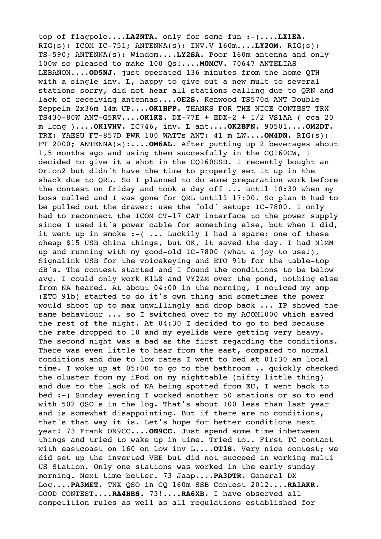top of flagpole....**LA2NTA.** only for some fun :-)....**LX1EA.** RIG(s): ICOM IC-751; ANTENNA(s): INV.V 160m....**LY2OM.** RIG(s): TS-590; ANTENNA(s): Windom....**LY2SA.** Poor 160m antenna and only 100w so pleased to make 100 Qs!....**M0MCV.** 70647 ANTELIAS LEBANON....**OD5NJ.** just operated 136 minutes from the home QTH with a single inv. L, happy to give out a new mult to several stations sorry, did not hear all stations calling due to QRN and lack of receiving antennas....**OE2S.** Kenwood TS570d ANT Double Zeppeln 2x36m 14m UP....**OK1HFP.** THANKS FOR THE NICE CONTEST TRX TS430-80W ANT-G5RV....**OK1KZ.** DX-77E + EDX-2 + 1/2 VS1AA ( cca 20 m long )....**OK1VHV.** IC746, inv. L ant....**OK2BFN.** 90501....**OM2DT.** TRX: YAESU FT-857D PWR 100 WATTs ANT: 41 m LW....**OM4DN.** RIG(s): FT 2000; ANTENNA(s):....**OM6AL.** After putting up 2 beverages about 1,5 months ago and using them succesfully in the CQ160CW, I decided to give it a shot in the CQ160SSB. I recently bought an Orion2 but didn´t have the time to properly set it up in the shack due to QRL. So I planned to do some preparation work before the contest on friday and took a day off ... until 10:30 when my boss called and I was gone for QRL untill 17:00. So plan B had to be pulled out the drawer: use the ´old´ setup: IC-7800. I only had to reconnect the ICOM CT-17 CAT interface to the power supply since I used it´s power cable for something else, but when I did, it went up in smoke :- ( ... Luckily I had a spare: one of these cheap \$15 USB china things, but OK, it saved the day. I had N1MM up and running with my good-old IC-7800 (what a joy to use!), Signalink USB for the voicekeying and ETO 91b for the table-top dB´s. The contest started and I found the conditions to be below avg. I could only work K1LZ and VY2ZM over the pond, nothing else from NA heared. At about 04:00 in the morning, I noticed my amp (ETO 91b) started to do it's own thing and sometimes the power would shoot up to max unwillingly and drop back ... IP showed the same behaviour ... so I switched over to my ACOM1000 which saved the rest of the night. At 04:30 I decided to go to bed because the rate dropped to 10 and my eyelids were getting very heavy. The second night was a bad as the first regarding the conditions. There was even little to hear from the east, compared to normal conditions and due to low rates I went to bed at 01:30 am local time. I woke up at 05:00 to go to the bathroom .. quickly checked the cluster from my iPod on my nighttable (nifty little thing) and due to the lack of NA being spotted from EU, I went back to bed :-) Sunday evening I worked another 50 stations or so to end with 502 QSO's in the log. That's about 100 less than last year and is somewhat disappointing. But if there are no conditions, that's that way it is. Let's hope for better conditions next year! 73 Frank ON9CC....**ON9CC.** Just spend some time inbetween things and tried to wake up in time. Tried to.. First TC contact with eastcoast on 160 on low inv L....**OT1S.** Very nice contest; we did set up the inverted VEE but did not succeed in working multi US Station. Only one stations was worked in the early sunday morning. Next time better. 73 Jaap....**PA3DTR.** General DX Log....**PA3MET.** TNX QSO in CQ 160m SSB Contest 2012....**RA1AKR.** GOOD CONTEST....**RA4HBS.** 73!....**RA6XB.** I have observed all competition rules as well as all regulations established for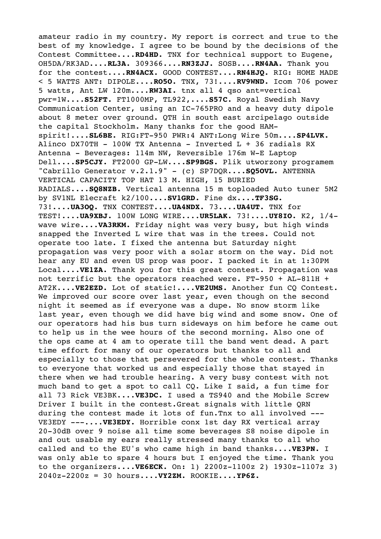amateur radio in my country. My report is correct and true to the best of my knowledge. I agree to be bound by the decisions of the Contest Committee....**RD4HD.** TNX for technical support to Eugene, OH5DA/RK3AD....**RL3A.** 309366....**RN3ZJJ.** SOSB....**RN4AA.** Thank you for the contest....**RN4ACX.** GOOD CONTEST....**RN4HJQ.** RIG: HOME MADE < 5 WATTS ANT: DIPOLE....**RO5O.** TNX, 73!....**RV9WND.** Icom 706 power 5 watts, Ant LW 120m....**RW3AI.** tnx all 4 qso ant=vertical pwr=1W....**S52FT.** FT1000MP, TL922,....**S57C.** Royal Swedish Navy Communication Center, using an IC-765PRO and a heavy duty dipole about 8 meter over ground. QTH in south east arcipelago outside the capital Stockholm. Many thanks for the good HAMspirit!....**SL6BE.** RIG:FT-950 PWR:4 ANT:Long Wire 50m....**SP4LVK.** Alinco DX70TH - 100W TX Antenna - Inverted  $L + 36$  radials RX Antenna - Beverages: 114m NW, Reversible 176m W-E Laptop Dell....**SP5CJY.** FT2000 GP-LW....**SP9BGS.** Plik utworzony programem "Cabrillo Generator v.2.1.9" - (c) SP7DQR....**SQ5OVL.** ANTENNA VERTICAL CAPACITY TOP HAT 13 M. HIGH, 15 BURIED RADIALS....**SQ8NZB.** Vertical antenna 15 m toploaded Auto tuner 5M2 by SV1NL Elecraft k2/100....**SV1GRD.** Fine dx....**TF3SG.** 73!....**UA3OQ.** TNX CONTEST....**UA4NDX.** 73....**UA4UT.** TNX for TEST!....**UA9XBJ.** 100W LONG WIRE....**UR5LAK.** 73!....**UY8IO.** K2, 1/4 wave wire....**VA3RKM.** Friday night was very busy, but high winds snapped the Inverted L wire that was in the trees. Could not operate too late. I fixed the antenna but Saturday night propagation was very poor with a solar storm on the way. Did not hear any EU and even US prop was poor. I packed it in at 1:30PM Local....**VE1ZA.** Thank you for this great contest. Propagation was not terrific but the operators reached were. FT-950 + AL-811H + AT2K....**VE2EZD.** Lot of static!....**VE2UMS.** Another fun CQ Contest. We improved our score over last year, even though on the second night it seemed as if everyone was a dupe. No snow storm like last year, even though we did have big wind and some snow. One of our operators had his bus turn sideways on him before he came out to help us in the wee hours of the second morning. Also one of the ops came at 4 am to operate till the band went dead. A part time effort for many of our operators but thanks to all and especially to those that persevered for the whole contest. Thanks to everyone that worked us and especially those that stayed in there when we had trouble hearing. A very busy contest with not much band to get a spot to call CQ. Like I said, a fun time for all 73 Rick VE3BK....**VE3DC.** I used a TS940 and the Mobile Screw Driver I built in the contest.Great signals with little QRN during the contest made it lots of fun.Tnx to all involved --- VE3EDY ---....**VE3EDY.** Horrible conx 1st day RX vertical array 20-30dB over 9 noise all time some beverages S8 noise dipole in and out usable my ears really stressed many thanks to all who called and to the EU's who came high in band thanks....**VE3PN.** I was only able to spare 4 hours but I enjoyed the time. Thank you to the organizers....**VE6ECK.** On: 1) 2200z-1100z 2) 1930z-1107z 3) 2040z-2200z = 30 hours....**VY2ZM.** ROOKIE....**YP6Z.**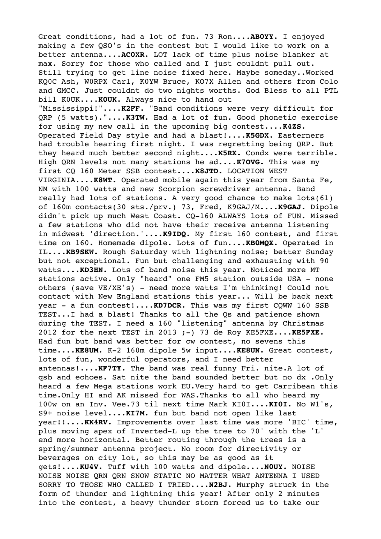Great conditions, had a lot of fun. 73 Ron....**AB0YY.** I enjoyed making a few QSO's in the contest but I would like to work on a better antenna....**AC0XR.** LOT lack of time plus noise blanker at max. Sorry for those who called and I just couldnt pull out. Still trying to get line noise fixed here. Maybe someday..Worked KQ0C Ash, W0RPX Carl, K0YW Bruce, KO7X Allen and others from Colo and GMCC. Just couldnt do two nights worths. God Bless to all PTL bill K0UK....**K0UK.** Always nice to hand out "Mississippi!"....**K2FF.** "Band conditions were very difficult for QRP (5 watts)."....**K3TW.** Had a lot of fun. Good phonetic exercise for using my new call in the upcoming big contest....**K4ZS.** Operated Field Day style and had a blast!....**K5GDX.** Easterners had trouble hearing first night. I was regretting being QRP. But they heard much better second night....**K5RX.** Condx were terrible. High QRN levels not many stations he ad....**K7OVG.** This was my first CQ 160 Meter SSB contest....**K8JTD.** LOCATION WEST VIRGINIA....**K8WT.** Operated mobile again this year from Santa Fe, NM with 100 watts and new Scorpion screwdriver antenna. Band really had lots of stations. A very good chance to make lots(61) of 160m contacts(30 sts./prv.) 73, Fred, K9GAJ/M....**K9GAJ.** Dipole didn't pick up much West Coast. CQ-160 ALWAYS lots of FUN. Missed a few stations who did not have their receive antenna listening in midwest 'direction.'....**K9IDQ.** My first 160 contest, and first time on 160. Homemade dipole. Lots of fun....**KB0MQX.** Operated in IL....**KB9SKW.** Rough Saturday with lightning noise; better Sunday but not exceptional. Fun but challenging and exhausting with 90 watts....**KD3HN.** Lots of band noise this year. Noticed more MT stations active. Only "heard" one FM5 station outside USA - none others (save VE/XE's) - need more watts I'm thinking! Could not contact with New England stations this year... Will be back next year - a fun contest!.... KD7DCR. This was my first CQWW 160 SSB TEST...I had a blast! Thanks to all the Qs and patience shown during the TEST. I need a 160 "listening" antenna by Christmas 2012 for the next TEST in 2013 ;-) 73 de Roy KE5FXE....**KE5FXE.** Had fun but band was better for cw contest, no sevens this time....**KE8UM.** K-2 160m dipole 5w input....**KE8UN.** Great contest, lots of fun, wonderful operators, and I need better antennas!....**KF7TY.** The band was real funny Fri. nite.A lot of qsb and echoes. Sat nite the band sounded better but no dx .Only heard a few Mega stations work EU.Very hard to get Carribean this time.Only HI and AK missed for WAS.Thanks to all who heard my 100w on an Inv. Vee.73 til next time Mark KI0I....**KI0I.** No W1's, S9+ noise level....**KI7M.** fun but band not open like last year!!....**KK4RV.** Improvements over last time was more 'BIC' time, plus moving apex of Inverted-L up the tree to 70' with the 'L' end more horizontal. Better routing through the trees is a spring/summer antenna project. No room for directivity or beverages on city lot, so this may be as good as it gets!....**KU4V.** Tuff with 100 watts and dipole....**N0UY.** NOISE NOISE NOISE QRN QRN SNOW STATIC NO MATTER WHAT ANTENNA I USED SORRY TO THOSE WHO CALLED I TRIED....**N2BJ.** Murphy struck in the form of thunder and lightning this year! After only 2 minutes into the contest, a heavy thunder storm forced us to take our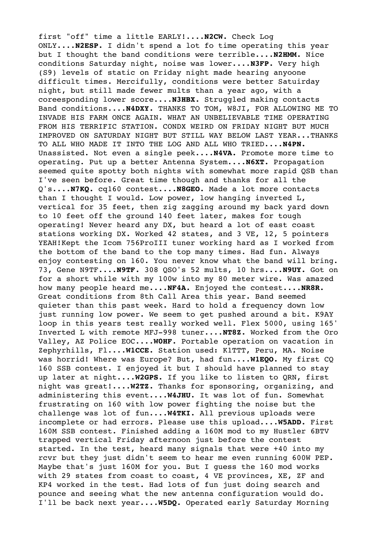first "off" time a little EARLY!....**N2CW.** Check Log ONLY....**N2ESP.** I didn't spend a lot fo time operating this year but I thought the band conditions were terrible....**N2HMM.** Nice conditions Saturday night, noise was lower....**N3FP.** Very high (S9) levels of static on Friday night made hearing anyoone difficult times. Mercifully, conditions were better Satuirday night, but still made fewer mults than a year ago, with a coreesponding lower score....**N3HBX.** Struggled making contacts Band conditions....**N4DXY.** THANKS TO TOM, W8JI, FOR ALLOWING ME TO INVADE HIS FARM ONCE AGAIN. WHAT AN UNBELIEVABLE TIME OPERATING FROM HIS TERRIFIC STATION. CONDX WEIRD ON FRIDAY NIGHT BUT MUCH IMPROVED ON SATURDAY NIGHT BUT STILL WAY BELOW LAST YEAR...THANKS TO ALL WHO MADE IT INTO THE LOG AND ALL WHO TRIED....**N4PN.** Unassisted. Not even a single peek....**N4VA.** Promote more time to operating. Put up a better Antenna System....**N6XT.** Propagation seemed quite spotty both nights with somewhat more rapid QSB than I've seen before. Great time though and thanks for all the Q's....**N7KQ.** cq160 contest....**N8GEO.** Made a lot more contacts than I thought I would. Low power, low hanging inverted L, vertical for 35 feet, then zig zagging around my back yard down to 10 feet off the ground 140 feet later, makes for tough operating! Never heard any DX, but heard a lot of east coast stations working DX. Worked 42 states, and 3 VE, 12, 5 pointers YEAH!Kept the Icom 756ProIII tuner working hard as I worked from the bottom of the band to the top many times. Had fun. Always enjoy contesting on 160. You never know what the band will bring. 73, Gene N9TF....**N9TF.** 308 QSO's 52 mults, 10 hrs....**N9UY.** Got on for a short while with my 100w into my 80 meter wire. Was amazed how many people heard me....**NF4A.** Enjoyed the contest....**NR8R.** Great conditions from 8th Call Area this year. Band seemed quieter than this past week. Hard to hold a frequency down low just running low power. We seem to get pushed around a bit. K9AY loop in this years test really worked well. Flex 5000, using 165' Inverted L with remote MFJ-998 tuner....**NT8Z.** Worked from the Oro Valley, AZ Police EOC....**W0HF.** Portable operation on vacation in Zephyrhills, Fl....**W1CCE.** Station used: K1TTT, Peru, MA. Noise was horrid! Where was Europe? But, had fun....**W1EQO.** My first CQ 160 SSB contest. I enjoyed it but I should have planned to stay up later at night....**W2GPS.** If you like to listen to QRN, first night was great!....**W2TZ.** Thanks for sponsoring, organizing, and administering this event....**W4JHU.** It was lot of fun. Somewhat frustrating on 160 with low power fighting the noise but the challenge was lot of fun....**W4TKI.** All previous uploads were incomplete or had errors. Please use this upload....**W5ADD.** First 160M SSB contest. Finished adding a 160M mod to my Hustler 6BTV trapped vertical Friday afternoon just before the contest started. In the test, heard many signals that were +40 into my rcvr but they just didn't seem to hear me even running 600W PEP. Maybe that's just 160M for you. But I guess the 160 mod works with 29 states from coast to coast, 4 VE provinces, XE, ZF and KP4 worked in the test. Had lots of fun just doing search and pounce and seeing what the new antenna configuration would do. I'll be back next year....**W5DQ.** Operated early Saturday Morning